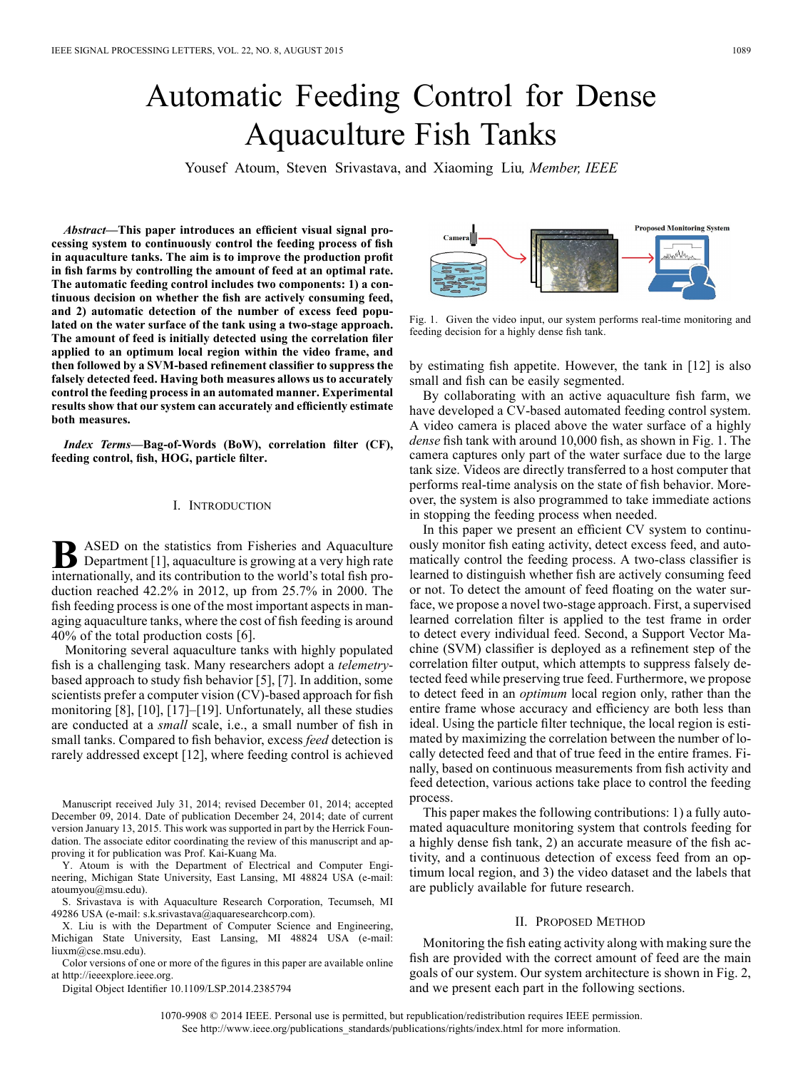# Automatic Feeding Control for Dense Aquaculture Fish Tanks

Yousef Atoum, Steven Srivastava, and Xiaoming Liu*, Member, IEEE*

*Abstract—***This paper introduces an efficient visual signal processing system to continuously control the feeding process of fish in aquaculture tanks. The aim is to improve the production profit in fish farms by controlling the amount of feed at an optimal rate. The automatic feeding control includes two components: 1) a continuous decision on whether the fish are actively consuming feed, and 2) automatic detection of the number of excess feed populated on the water surface of the tank using a two-stage approach. The amount of feed is initially detected using the correlation filer applied to an optimum local region within the video frame, and then followed by a SVM-based refinement classifier to suppress the falsely detected feed. Having both measures allows us to accurately control the feeding process in an automated manner. Experimental results show that our system can accurately and efficiently estimate both measures.**

*Index Terms—***Bag-of-Words (BoW), correlation filter (CF), feeding control, fish, HOG, particle filter.**

## I. INTRODUCTION

**B** ASED on the statistics from Fisheries and Aquaculture Department [1], aquaculture is growing at a very high rate internationally, and its contribution to the world's total fish production reached 42.2% in 2012, up from 25.7% in 2000. The fish feeding process is one of the most important aspects in managing aquaculture tanks, where the cost of fish feeding is around 40% of the total production costs [6].

Monitoring several aquaculture tanks with highly populated fish is a challenging task. Many researchers adopt a *telemetry*based approach to study fish behavior [5], [7]. In addition, some scientists prefer a computer vision (CV)-based approach for fish monitoring [8], [10], [17]–[19]. Unfortunately, all these studies are conducted at a *small* scale, i.e., a small number of fish in small tanks. Compared to fish behavior, excess *feed* detection is rarely addressed except [12], where feeding control is achieved

Manuscript received July 31, 2014; revised December 01, 2014; accepted December 09, 2014. Date of publication December 24, 2014; date of current version January 13, 2015. This work was supported in part by the Herrick Foundation. The associate editor coordinating the review of this manuscript and approving it for publication was Prof. Kai-Kuang Ma.

Y. Atoum is with the Department of Electrical and Computer Engineering, Michigan State University, East Lansing, MI 48824 USA (e-mail: atoumyou@msu.edu).

S. Srivastava is with Aquaculture Research Corporation, Tecumseh, MI 49286 USA (e-mail: s.k.srivastava@aquaresearchcorp.com).

X. Liu is with the Department of Computer Science and Engineering, Michigan State University, East Lansing, MI 48824 USA (e-mail: liuxm@cse.msu.edu).

Color versions of one or more of the figures in this paper are available online at http://ieeexplore.ieee.org.

Digital Object Identifier 10.1109/LSP.2014.2385794

**Proposed Monitoring System** 

Fig. 1. Given the video input, our system performs real-time monitoring and feeding decision for a highly dense fish tank.

by estimating fish appetite. However, the tank in [12] is also small and fish can be easily segmented.

By collaborating with an active aquaculture fish farm, we have developed a CV-based automated feeding control system. A video camera is placed above the water surface of a highly *dense* fish tank with around 10,000 fish, as shown in Fig. 1. The camera captures only part of the water surface due to the large tank size. Videos are directly transferred to a host computer that performs real-time analysis on the state of fish behavior. Moreover, the system is also programmed to take immediate actions in stopping the feeding process when needed.

In this paper we present an efficient CV system to continuously monitor fish eating activity, detect excess feed, and automatically control the feeding process. A two-class classifier is learned to distinguish whether fish are actively consuming feed or not. To detect the amount of feed floating on the water surface, we propose a novel two-stage approach. First, a supervised learned correlation filter is applied to the test frame in order to detect every individual feed. Second, a Support Vector Machine (SVM) classifier is deployed as a refinement step of the correlation filter output, which attempts to suppress falsely detected feed while preserving true feed. Furthermore, we propose to detect feed in an *optimum* local region only, rather than the entire frame whose accuracy and efficiency are both less than ideal. Using the particle filter technique, the local region is estimated by maximizing the correlation between the number of locally detected feed and that of true feed in the entire frames. Finally, based on continuous measurements from fish activity and feed detection, various actions take place to control the feeding process.

This paper makes the following contributions: 1) a fully automated aquaculture monitoring system that controls feeding for a highly dense fish tank, 2) an accurate measure of the fish activity, and a continuous detection of excess feed from an optimum local region, and 3) the video dataset and the labels that are publicly available for future research.

## II. PROPOSED METHOD

Monitoring the fish eating activity along with making sure the fish are provided with the correct amount of feed are the main goals of our system. Our system architecture is shown in Fig. 2, and we present each part in the following sections.

1070-9908 © 2014 IEEE. Personal use is permitted, but republication/redistribution requires IEEE permission. See http://www.ieee.org/publications\_standards/publications/rights/index.html for more information.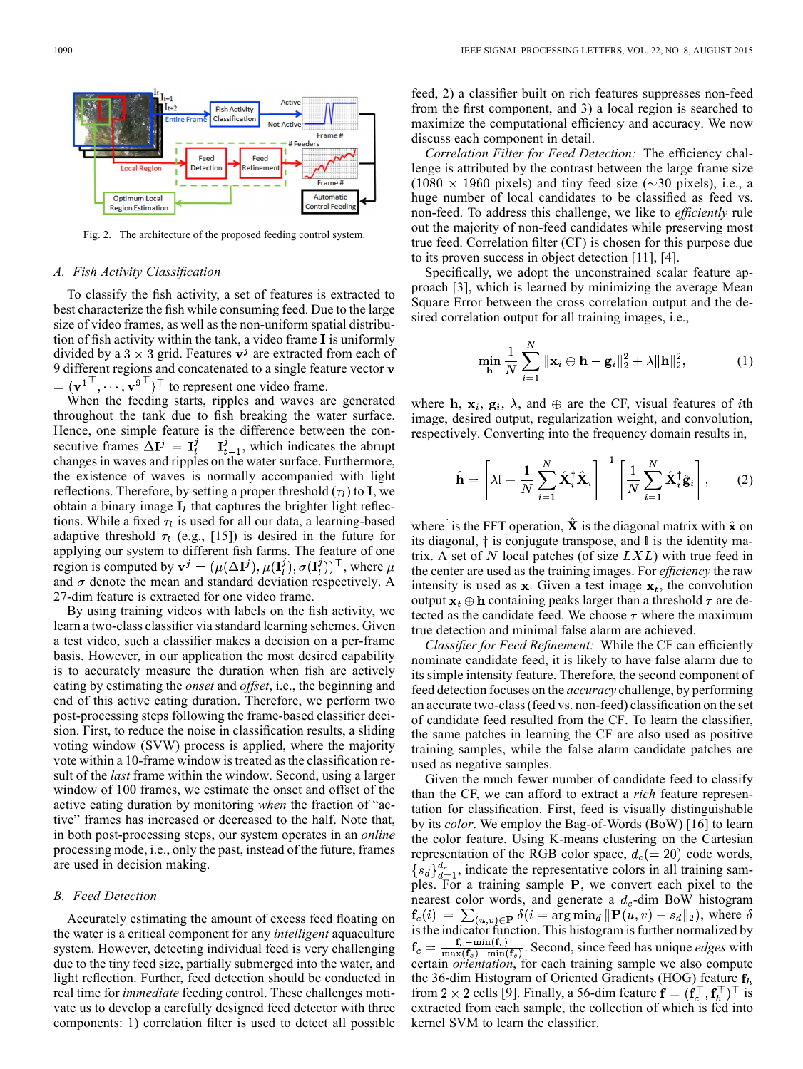

Fig. 2. The architecture of the proposed feeding control system.

## *A. Fish Activity Classification*

To classify the fish activity, a set of features is extracted to best characterize the fish while consuming feed. Due to the large size of video frames, as well as the non-uniform spatial distribution of fish activity within the tank, a video frame  $I$  is uniformly divided by a 3  $\times$  3 grid. Features  $v^j$  are extracted from each of 9 different regions and concatenated to a single feature vector v  $t = (\mathbf{v}^1{}^{\top}, \cdots, \mathbf{v}^9{}^{\top})^{\top}$  to represent one video frame.

When the feeding starts, ripples and waves are generated throughout the tank due to fish breaking the water surface. Hence, one simple feature is the difference between the consecutive frames  $\Delta I^j = I^j_t - I^j_{t-1}$ , which indicates the abrupt changes in waves and ripples on the water surface. Furthermore, the existence of waves is normally accompanied with light reflections. Therefore, by setting a proper threshold  $(\tau_l)$  to **I**, we obtain a binary image  $I_l$  that captures the brighter light reflections. While a fixed  $\tau_l$  is used for all our data, a learning-based adaptive threshold  $\tau_l$  (e.g., [15]) is desired in the future for applying our system to different fish farms. The feature of one region is computed by  $\mathbf{v}^j = (\mu(\Delta \mathbf{I}^j), \mu(\mathbf{I}^j_i), \sigma(\mathbf{I}^j_i))^{\top}$ , where  $\mu$ and  $\sigma$  denote the mean and standard deviation respectively. A 27-dim feature is extracted for one video frame.

By using training videos with labels on the fish activity, we learn a two-class classifier via standard learning schemes. Given a test video, such a classifier makes a decision on a per-frame basis. However, in our application the most desired capability is to accurately measure the duration when fish are actively eating by estimating the *onset* and *offset*, i.e., the beginning and end of this active eating duration. Therefore, we perform two post-processing steps following the frame-based classifier decision. First, to reduce the noise in classification results, a sliding voting window (SVW) process is applied, where the majority vote within a 10-frame window is treated as the classification result of the *last* frame within the window. Second, using a larger window of 100 frames, we estimate the onset and offset of the active eating duration by monitoring *when* the fraction of "active" frames has increased or decreased to the half. Note that, in both post-processing steps, our system operates in an *online* processing mode, i.e., only the past, instead of the future, frames are used in decision making.

## *B. Feed Detection*

Accurately estimating the amount of excess feed floating on the water is a critical component for any *intelligent* aquaculture system. However, detecting individual feed is very challenging due to the tiny feed size, partially submerged into the water, and light reflection. Further, feed detection should be conducted in real time for *immediate* feeding control. These challenges motivate us to develop a carefully designed feed detector with three components: 1) correlation filter is used to detect all possible

feed, 2) a classifier built on rich features suppresses non-feed from the first component, and 3) a local region is searched to maximize the computational efficiency and accuracy. We now discuss each component in detail.

*Correlation Filter for Feed Detection:* The efficiency challenge is attributed by the contrast between the large frame size  $(1080 \times 1960)$  pixels) and tiny feed size ( $\sim$ 30 pixels), i.e., a huge number of local candidates to be classified as feed vs. non-feed. To address this challenge, we like to *efficiently* rule out the majority of non-feed candidates while preserving most true feed. Correlation filter (CF) is chosen for this purpose due to its proven success in object detection [11], [4].

Specifically, we adopt the unconstrained scalar feature approach [3], which is learned by minimizing the average Mean Square Error between the cross correlation output and the desired correlation output for all training images, i.e.,

$$
\min_{\mathbf{h}} \frac{1}{N} \sum_{i=1}^{N} \|\mathbf{x}_i \oplus \mathbf{h} - \mathbf{g}_i\|_2^2 + \lambda \|\mathbf{h}\|_2^2, \tag{1}
$$

where h,  $x_i$ ,  $g_i$ ,  $\lambda$ , and  $\oplus$  are the CF, visual features of *i*th image, desired output, regularization weight, and convolution, respectively. Converting into the frequency domain results in,

$$
\hat{\mathbf{h}} = \left[\lambda \mathbf{I} + \frac{1}{N} \sum_{i=1}^{N} \hat{\mathbf{X}}_{i}^{\dagger} \hat{\mathbf{X}}_{i}\right]^{-1} \left[\frac{1}{N} \sum_{i=1}^{N} \hat{\mathbf{X}}_{i}^{\dagger} \hat{\mathbf{g}}_{i}\right],
$$
 (2)

where is the FFT operation,  $\bar{\mathbf{X}}$  is the diagonal matrix with  $\hat{\mathbf{x}}$  on its diagonal,  $\dagger$  is conjugate transpose, and  $\mathbb I$  is the identity matrix. A set of N local patches (of size  $LXL$ ) with true feed in the center are used as the training images. For *efficiency* the raw intensity is used as  $x$ . Given a test image  $x_t$ , the convolution output  $x_t \oplus h$  containing peaks larger than a threshold  $\tau$  are detected as the candidate feed. We choose  $\tau$  where the maximum true detection and minimal false alarm are achieved.

*Classifier for Feed Refinement:* While the CF can efficiently nominate candidate feed, it is likely to have false alarm due to its simple intensity feature. Therefore, the second component of feed detection focuses on the *accuracy* challenge, by performing an accurate two-class (feed vs. non-feed) classification on the set of candidate feed resulted from the CF. To learn the classifier, the same patches in learning the CF are also used as positive training samples, while the false alarm candidate patches are used as negative samples.

Given the much fewer number of candidate feed to classify than the CF, we can afford to extract a *rich* feature representation for classification. First, feed is visually distinguishable by its *color*. We employ the Bag-of-Words (BoW) [16] to learn the color feature. Using K-means clustering on the Cartesian representation of the RGB color space,  $d_c (= 20)$  code words,  $\{s_d\}_{d=1}^{d_c}$ , indicate the representative colors in all training samples. For a training sample  $P$ , we convert each pixel to the nearest color words, and generate a  $d_c$ -dim BoW histogram  $f_c(i) = \sum_{(u,v)\in \mathbf{P}} \delta(i = \arg \min_d ||\mathbf{P}(u,v) - s_d||_2),$  where  $\delta$ is the indicator function. This histogram is further normalized by  $\mathbf{f}_c = \frac{\mathbf{f}_c - \min(\mathbf{f}_c)}{\max(\mathbf{f}_c) - \min(\mathbf{f}_c)}$ . Second, since feed has unique *edges* with certain *orientation*, for each training sample we also compute the 36-dim Histogram of Oriented Gradients (HOG) feature  $f<sub>h</sub>$ from 2  $\times$  2 cells [9]. Finally, a 56-dim feature  $\mathbf{f} = (\mathbf{f}_c^{\top}, \mathbf{f}_h^{\top})^{\top}$  is extracted from each sample, the collection of which is fed into kernel SVM to learn the classifier.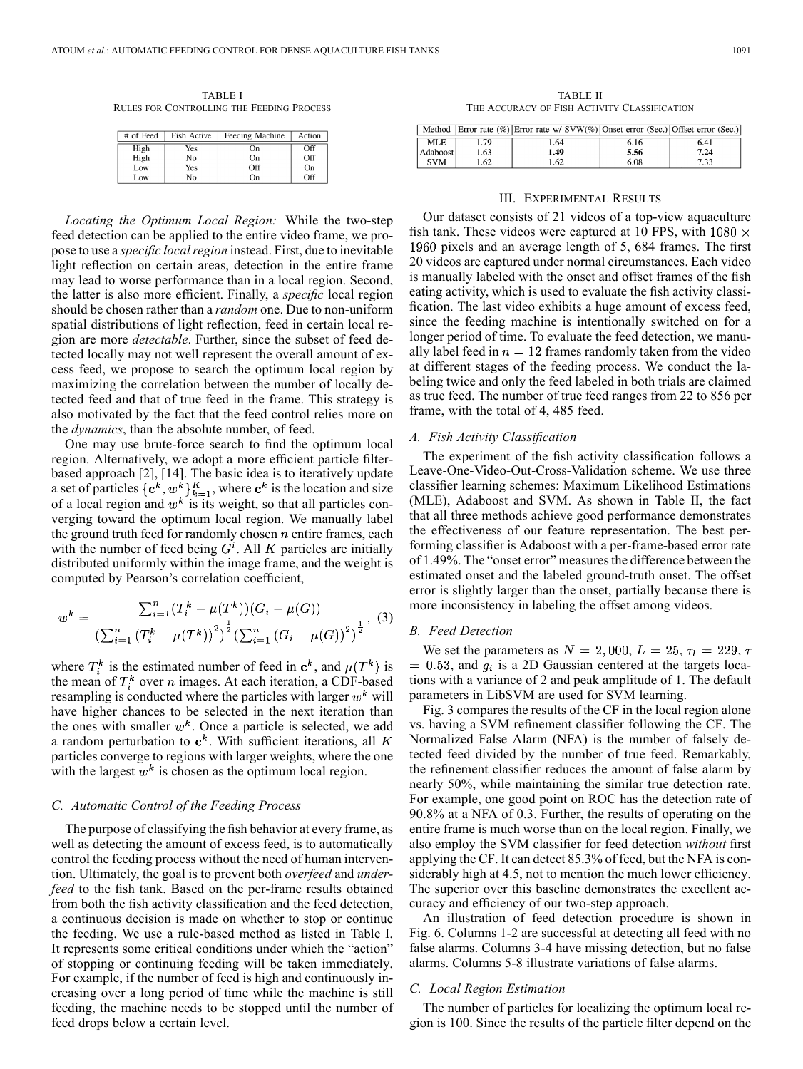TABLE I RULES FOR CONTROLLING THE FEEDING PROCESS

| # of Feed | Fish Active | Feeding Machine | Action |
|-----------|-------------|-----------------|--------|
| High      | Yes         | On              | Off    |
| High      | No          | On              | Off    |
| Low       | Yes         | Off             | On     |
| Low       | No          | On              | Off    |

*Locating the Optimum Local Region:* While the two-step feed detection can be applied to the entire video frame, we propose to use a *specific local region* instead. First, due to inevitable light reflection on certain areas, detection in the entire frame may lead to worse performance than in a local region. Second, the latter is also more efficient. Finally, a *specific* local region should be chosen rather than a *random* one. Due to non-uniform spatial distributions of light reflection, feed in certain local region are more *detectable*. Further, since the subset of feed detected locally may not well represent the overall amount of excess feed, we propose to search the optimum local region by maximizing the correlation between the number of locally detected feed and that of true feed in the frame. This strategy is also motivated by the fact that the feed control relies more on the *dynamics*, than the absolute number, of feed.

One may use brute-force search to find the optimum local region. Alternatively, we adopt a more efficient particle filterbased approach [2], [14]. The basic idea is to iteratively update a set of particles  $\{ \vec{e}^k, w^k \}_{k=1}^K$ , where  $c^k$  is the location and size of a local region and  $w^k$  is its weight, so that all particles converging toward the optimum local region. We manually label the ground truth feed for randomly chosen  $n$  entire frames, each with the number of feed being  $G^i$ . All K particles are initially distributed uniformly within the image frame, and the weight is computed by Pearson's correlation coefficient,

$$
w^{k} = \frac{\sum_{i=1}^{n} (T_{i}^{k} - \mu(T^{k}))(G_{i} - \mu(G))}{\left(\sum_{i=1}^{n} (T_{i}^{k} - \mu(T^{k}))^{2}\right)^{\frac{1}{2}}\left(\sum_{i=1}^{n} (G_{i} - \mu(G))^{2}\right)^{\frac{1}{2}}}, (3)
$$

where  $T_i^k$  is the estimated number of feed in  $\mathbf{c}^k$ , and  $\mu(T^k)$  is the mean of  $T_i^k$  over n images. At each iteration, a CDF-based resampling is conducted where the particles with larger  $w^k$  will have higher chances to be selected in the next iteration than the ones with smaller  $w^k$ . Once a particle is selected, we add a random perturbation to  $c^k$ . With sufficient iterations, all K particles converge to regions with larger weights, where the one with the largest  $w^k$  is chosen as the optimum local region.

## *C. Automatic Control of the Feeding Process*

The purpose of classifying the fish behavior at every frame, as well as detecting the amount of excess feed, is to automatically control the feeding process without the need of human intervention. Ultimately, the goal is to prevent both *overfeed* and *underfeed* to the fish tank. Based on the per-frame results obtained from both the fish activity classification and the feed detection, a continuous decision is made on whether to stop or continue the feeding. We use a rule-based method as listed in Table I. It represents some critical conditions under which the "action" of stopping or continuing feeding will be taken immediately. For example, if the number of feed is high and continuously increasing over a long period of time while the machine is still feeding, the machine needs to be stopped until the number of feed drops below a certain level.

TABLE II THE ACCURACY OF FISH ACTIVITY CLASSIFICATION

|          |      | Method Error rate $(\%)$ Error rate w/ SVW $(\%)$ Onset error (Sec.) Offset error (Sec.) |      |      |
|----------|------|------------------------------------------------------------------------------------------|------|------|
| MLE      | .79  | . .64                                                                                    | 0.16 | 6.41 |
| Adaboost | 1.63 | 1.49                                                                                     | 5.56 | 7.24 |
| SVM      | 1.62 | .62                                                                                      | 6.08 | 7.33 |

#### III. EXPERIMENTAL RESULTS

Our dataset consists of 21 videos of a top-view aquaculture fish tank. These videos were captured at 10 FPS, with 1080  $\times$ 1960 pixels and an average length of 5, 684 frames. The first 20 videos are captured under normal circumstances. Each video is manually labeled with the onset and offset frames of the fish eating activity, which is used to evaluate the fish activity classification. The last video exhibits a huge amount of excess feed, since the feeding machine is intentionally switched on for a longer period of time. To evaluate the feed detection, we manually label feed in  $n = 12$  frames randomly taken from the video at different stages of the feeding process. We conduct the labeling twice and only the feed labeled in both trials are claimed as true feed. The number of true feed ranges from 22 to 856 per frame, with the total of 4, 485 feed.

#### *A. Fish Activity Classification*

The experiment of the fish activity classification follows a Leave-One-Video-Out-Cross-Validation scheme. We use three classifier learning schemes: Maximum Likelihood Estimations (MLE), Adaboost and SVM. As shown in Table II, the fact that all three methods achieve good performance demonstrates the effectiveness of our feature representation. The best performing classifier is Adaboost with a per-frame-based error rate of 1.49%. The "onset error" measures the difference between the estimated onset and the labeled ground-truth onset. The offset error is slightly larger than the onset, partially because there is more inconsistency in labeling the offset among videos.

## *B. Feed Detection*

We set the parameters as  $N = 2,000, L = 25, \tau_l = 229, \tau$  $= 0.53$ , and  $g_i$  is a 2D Gaussian centered at the targets locations with a variance of 2 and peak amplitude of 1. The default parameters in LibSVM are used for SVM learning.

Fig. 3 compares the results of the CF in the local region alone vs. having a SVM refinement classifier following the CF. The Normalized False Alarm (NFA) is the number of falsely detected feed divided by the number of true feed. Remarkably, the refinement classifier reduces the amount of false alarm by nearly 50%, while maintaining the similar true detection rate. For example, one good point on ROC has the detection rate of 90.8% at a NFA of 0.3. Further, the results of operating on the entire frame is much worse than on the local region. Finally, we also employ the SVM classifier for feed detection *without* first applying the CF. It can detect 85.3% of feed, but the NFA is considerably high at 4.5, not to mention the much lower efficiency. The superior over this baseline demonstrates the excellent accuracy and efficiency of our two-step approach.

An illustration of feed detection procedure is shown in Fig. 6. Columns 1-2 are successful at detecting all feed with no false alarms. Columns 3-4 have missing detection, but no false alarms. Columns 5-8 illustrate variations of false alarms.

### *C. Local Region Estimation*

The number of particles for localizing the optimum local region is 100. Since the results of the particle filter depend on the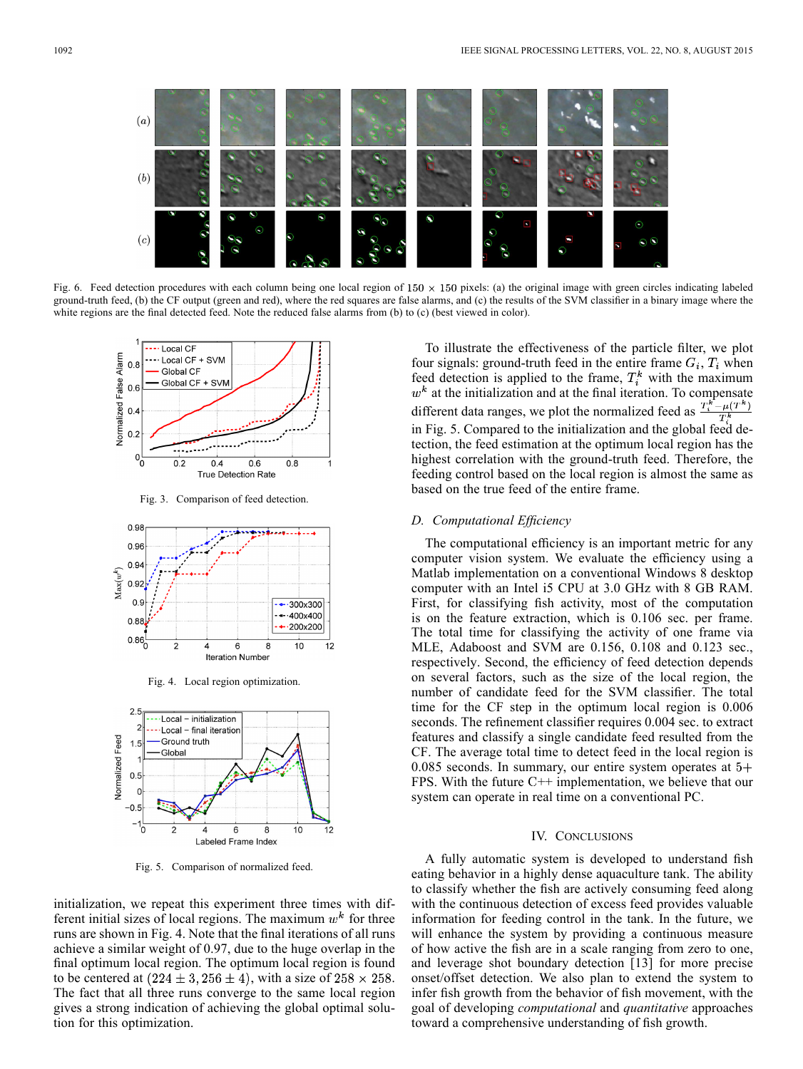

Fig. 6. Feed detection procedures with each column being one local region of  $150 \times 150$  pixels: (a) the original image with green circles indicating labeled ground-truth feed, (b) the CF output (green and red), where the red squares are false alarms, and (c) the results of the SVM classifier in a binary image where the white regions are the final detected feed. Note the reduced false alarms from (b) to (c) (best viewed in color).



Fig. 3. Comparison of feed detection.



Fig. 4. Local region optimization.



Fig. 5. Comparison of normalized feed.

initialization, we repeat this experiment three times with different initial sizes of local regions. The maximum  $w<sup>k</sup>$  for three runs are shown in Fig. 4. Note that the final iterations of all runs achieve a similar weight of 0.97, due to the huge overlap in the final optimum local region. The optimum local region is found to be centered at  $(224 \pm 3, 256 \pm 4)$ , with a size of  $258 \times 258$ . The fact that all three runs converge to the same local region gives a strong indication of achieving the global optimal solution for this optimization.

To illustrate the effectiveness of the particle filter, we plot four signals: ground-truth feed in the entire frame  $G_i$ ,  $T_i$  when feed detection is applied to the frame,  $T_i^k$  with the maximum  $w<sup>k</sup>$  at the initialization and at the final iteration. To compensate  $-\mu(T^k)$ different data ranges, we plot the normalized feed as in Fig. 5. Compared to the initialization and the global feed detection, the feed estimation at the optimum local region has the highest correlation with the ground-truth feed. Therefore, the feeding control based on the local region is almost the same as based on the true feed of the entire frame.

# *D. Computational Efficiency*

The computational efficiency is an important metric for any computer vision system. We evaluate the efficiency using a Matlab implementation on a conventional Windows 8 desktop computer with an Intel i5 CPU at 3.0 GHz with 8 GB RAM. First, for classifying fish activity, most of the computation is on the feature extraction, which is 0.106 sec. per frame. The total time for classifying the activity of one frame via MLE, Adaboost and SVM are 0.156, 0.108 and 0.123 sec., respectively. Second, the efficiency of feed detection depends on several factors, such as the size of the local region, the number of candidate feed for the SVM classifier. The total time for the CF step in the optimum local region is 0.006 seconds. The refinement classifier requires 0.004 sec. to extract features and classify a single candidate feed resulted from the CF. The average total time to detect feed in the local region is 0.085 seconds. In summary, our entire system operates at  $5+$ FPS. With the future  $C^{++}$  implementation, we believe that our system can operate in real time on a conventional PC.

# IV. CONCLUSIONS

A fully automatic system is developed to understand fish eating behavior in a highly dense aquaculture tank. The ability to classify whether the fish are actively consuming feed along with the continuous detection of excess feed provides valuable information for feeding control in the tank. In the future, we will enhance the system by providing a continuous measure of how active the fish are in a scale ranging from zero to one, and leverage shot boundary detection [13] for more precise onset/offset detection. We also plan to extend the system to infer fish growth from the behavior of fish movement, with the goal of developing *computational* and *quantitative* approaches toward a comprehensive understanding of fish growth.